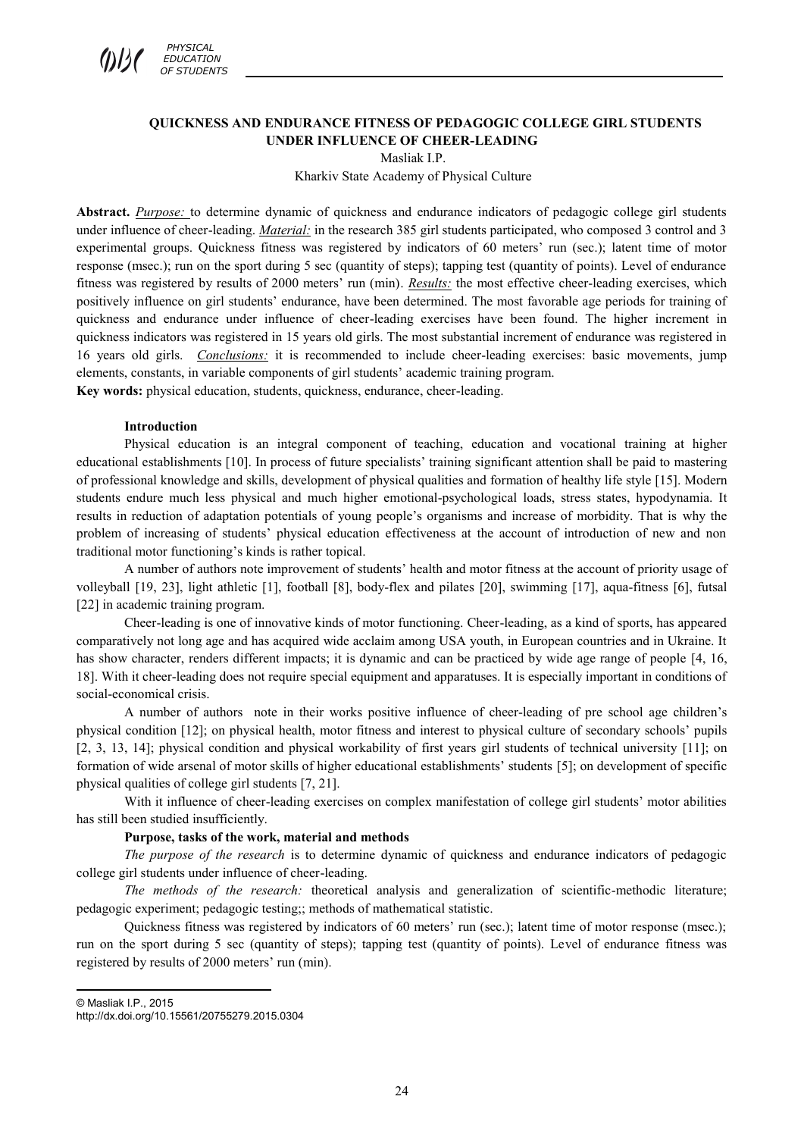

## **QUICKNESS AND ENDURANCE FITNESS OF PEDAGOGIC COLLEGE GIRL STUDENTS UNDER INFLUENCE OF CHEER-LEADING**  Masliak I.P.

Kharkiv State Academy of Physical Culture

**Abstract.** *Purpose:* to determine dynamic of quickness and endurance indicators of pedagogic college girl students under influence of cheer-leading. *Material:* in the research 385 girl students participated, who composed 3 control and 3 experimental groups. Quickness fitness was registered by indicators of 60 meters' run (sec.); latent time of motor response (msec.); run on the sport during 5 sec (quantity of steps); tapping test (quantity of points). Level of endurance fitness was registered by results of 2000 meters' run (min). *Results:* the most effective cheer-leading exercises, which positively influence on girl students' endurance, have been determined. The most favorable age periods for training of quickness and endurance under influence of cheer-leading exercises have been found. The higher increment in quickness indicators was registered in 15 years old girls. The most substantial increment of endurance was registered in 16 years old girls. *Conclusions:* it is recommended to include cheer-leading exercises: basic movements, jump elements, constants, in variable components of girl students' academic training program. **Key words:** physical education, students, quickness, endurance, cheer-leading.

#### **Introduction**

Physical education is an integral component of teaching, education and vocational training at higher educational establishments [10]. In process of future specialists' training significant attention shall be paid to mastering of professional knowledge and skills, development of physical qualities and formation of healthy life style [15]. Modern students endure much less physical and much higher emotional-psychological loads, stress states, hypodynamia. It results in reduction of adaptation potentials of young people's organisms and increase of morbidity. That is why the problem of increasing of students' physical education effectiveness at the account of introduction of new and non traditional motor functioning's kinds is rather topical.

A number of authors note improvement of students' health and motor fitness at the account of priority usage of volleyball [19, 23], light athletic [1], football [8], body-flex and pilates [20], swimming [17], aqua-fitness [6], futsal [22] in academic training program.

Cheer-leading is one of innovative kinds of motor functioning. Cheer-leading, as a kind of sports, has appeared comparatively not long age and has acquired wide acclaim among USA youth, in European countries and in Ukraine. It has show character, renders different impacts; it is dynamic and can be practiced by wide age range of people [4, 16, 18]. With it cheer-leading does not require special equipment and apparatuses. It is especially important in conditions of social-economical crisis.

A number of authors note in their works positive influence of cheer-leading of pre school age children's physical condition [12]; on physical health, motor fitness and interest to physical culture of secondary schools' pupils [2, 3, 13, 14]; physical condition and physical workability of first years girl students of technical university [11]; on formation of wide arsenal of motor skills of higher educational establishments' students [5]; on development of specific physical qualities of college girl students [7, 21].

With it influence of cheer-leading exercises on complex manifestation of college girl students' motor abilities has still been studied insufficiently.

### **Purpose, tasks of the work, material and methods**

*The purpose of the research* is to determine dynamic of quickness and endurance indicators of pedagogic college girl students under influence of cheer-leading.

*The methods of the research:* theoretical analysis and generalization of scientific-methodic literature; pedagogic experiment; pedagogic testing;; methods of mathematical statistic.

Quickness fitness was registered by indicators of 60 meters' run (sec.); latent time of motor response (msec.); run on the sport during 5 sec (quantity of steps); tapping test (quantity of points). Level of endurance fitness was registered by results of 2000 meters' run (min).

© Masliak I.P., 2015

 $\overline{a}$ 

http://dx.doi.org/10.15561/20755279.2015.0304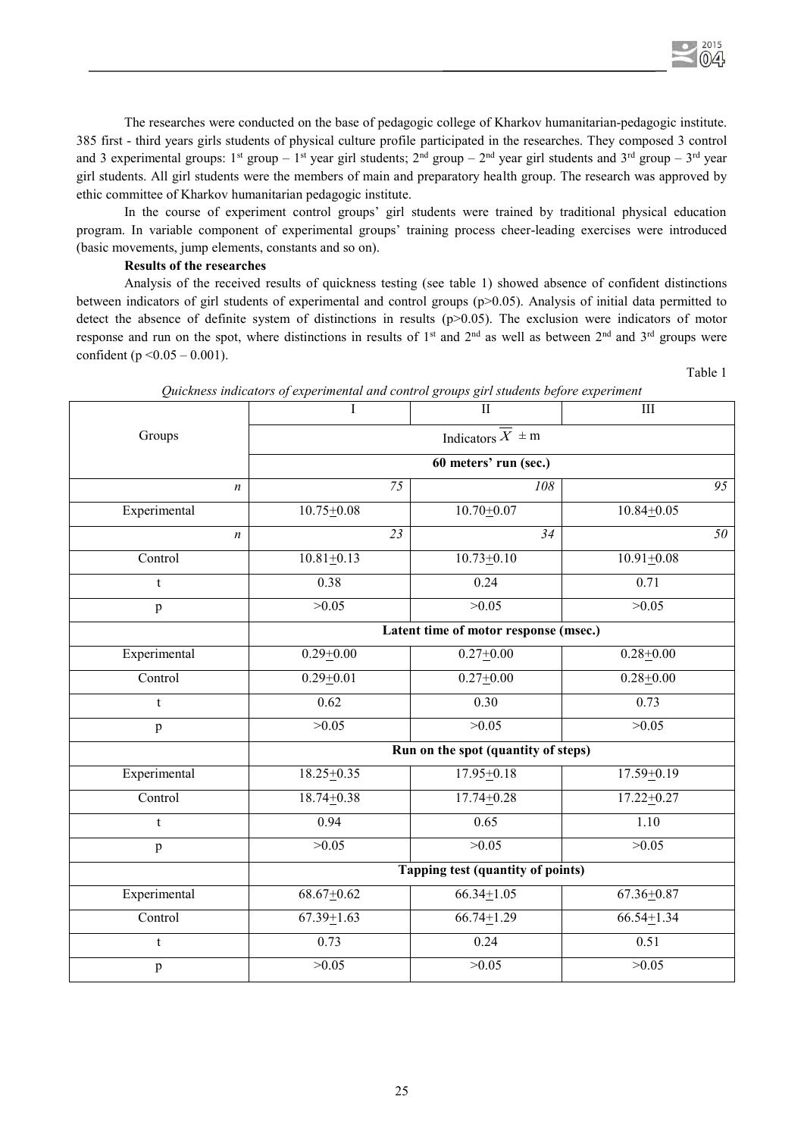The researches were conducted on the base of pedagogic college of Kharkov humanitarian-pedagogic institute. 385 first - third years girls students of physical culture profile participated in the researches. They composed 3 control and 3 experimental groups:  $1^{st}$  group –  $1^{st}$  year girl students;  $2^{nd}$  group –  $2^{nd}$  year girl students and  $3^{rd}$  group –  $3^{rd}$  year girl students. All girl students were the members of main and preparatory health group. The research was approved by ethic committee of Kharkov humanitarian pedagogic institute.

In the course of experiment control groups' girl students were trained by traditional physical education program. In variable component of experimental groups' training process cheer-leading exercises were introduced (basic movements, jump elements, constants and so on).

# **Results of the researches**

Analysis of the received results of quickness testing (see table 1) showed absence of confident distinctions between indicators of girl students of experimental and control groups (p>0.05). Analysis of initial data permitted to detect the absence of definite system of distinctions in results (p>0.05). The exclusion were indicators of motor response and run on the spot, where distinctions in results of  $1<sup>st</sup>$  and  $2<sup>nd</sup>$  as well as between  $2<sup>nd</sup>$  and  $3<sup>rd</sup>$  groups were confident (р  $\leq 0.05 - 0.001$ ).

Table 1

 $2015$ 

|                  | $\overline{I}$                        | $\overline{\mathbf{H}}$ | $III$            |  |
|------------------|---------------------------------------|-------------------------|------------------|--|
| Groups           | Indicators $\overline{X}$ = m         |                         |                  |  |
|                  | 60 meters' run (sec.)                 |                         |                  |  |
| $\boldsymbol{n}$ | 75                                    | 108                     | $\overline{95}$  |  |
| Experimental     | $10.75 \pm 0.08$                      | $10.70 + 0.07$          | $10.84 + 0.05$   |  |
| $\boldsymbol{n}$ | 23                                    | $\overline{34}$         | 50 <sup>2</sup>  |  |
| Control          | $10.81 \overline{\pm 0.13}$           | $10.73 \pm 0.10$        | $10.91 + 0.08$   |  |
| t                | 0.38                                  | 0.24                    | 0.71             |  |
| $\, {\bf p}$     | >0.05                                 | >0.05                   | >0.05            |  |
|                  | Latent time of motor response (msec.) |                         |                  |  |
| Experimental     | $0.29 + 0.00$                         | $0.27 + 0.00$           | $0.28 + 0.00$    |  |
| Control          | $0.29 + 0.01$                         | $0.27 + 0.00$           | $0.28 + 0.00$    |  |
| t                | 0.62                                  | 0.30                    | 0.73             |  |
| $\, {\bf p}$     | >0.05                                 | >0.05                   | >0.05            |  |
|                  | Run on the spot (quantity of steps)   |                         |                  |  |
| Experimental     | $18.25 \pm 0.35$                      | $17.95 \pm 0.18$        | $17.59 + 0.19$   |  |
| Control          | $18.74 + 0.38$                        | $17.74 + 0.28$          | $17.22 + 0.27$   |  |
| t                | 0.94                                  | 0.65                    | 1.10             |  |
| $\mathbf{p}$     | >0.05                                 | >0.05                   | >0.05            |  |
|                  | Tapping test (quantity of points)     |                         |                  |  |
| Experimental     | $68.67 + 0.62$                        | $66.34 \pm 1.05$        | $67.36 + 0.87$   |  |
| Control          | $67.39 \pm 1.63$                      | $66.74 \pm 1.29$        | $66.54 \pm 1.34$ |  |
| $\mathbf t$      | 0.73                                  | 0.24                    | 0.51             |  |
| $\, {\bf p}$     | >0.05                                 | >0.05                   | >0.05            |  |

*Quickness indicators of experimental and control groups girl students before experiment*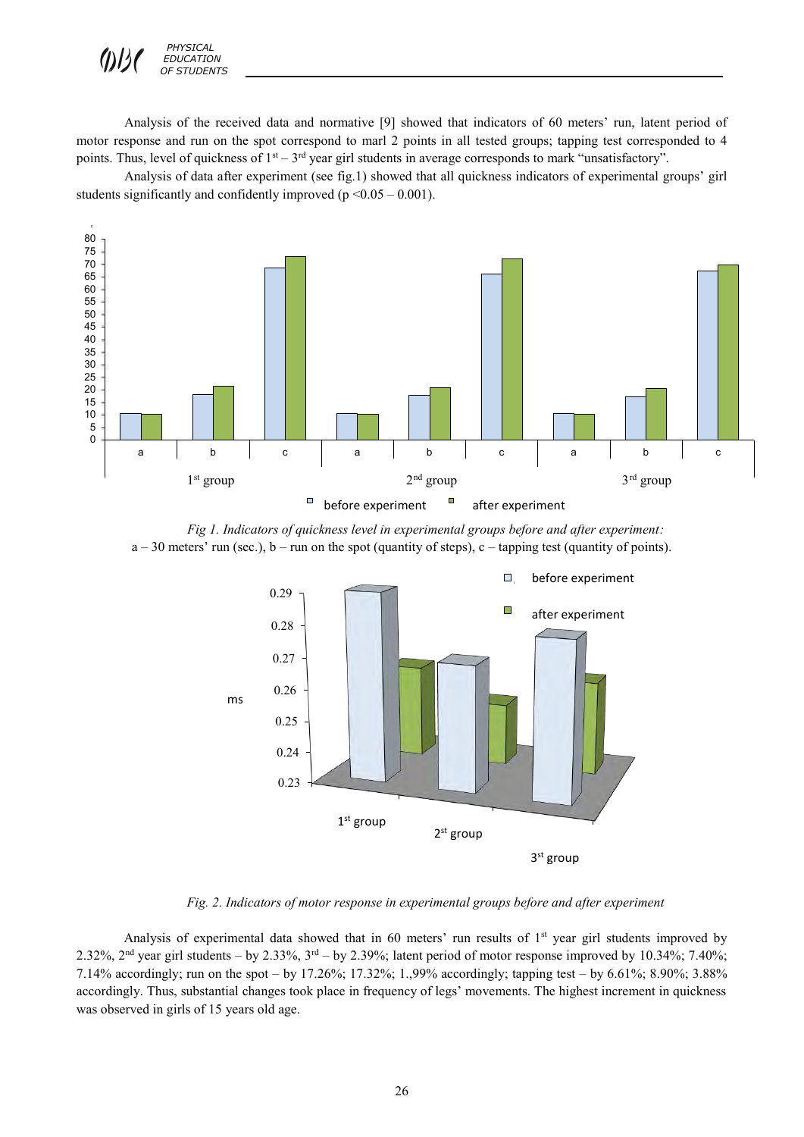

Analysis of the received data and normative [9] showed that indicators of 60 meters' run, latent period of motor response and run on the spot correspond to marl 2 points in all tested groups; tapping test corresponded to 4 points. Thus, level of quickness of  $1<sup>st</sup> - 3<sup>rd</sup>$  year girl students in average corresponds to mark "unsatisfactory".

Analysis of data after experiment (see fig.1) showed that all quickness indicators of experimental groups' girl students significantly and confidently improved ( $p \le 0.05 - 0.001$ ).



*Fig 1. Indicators of quickness level in experimental groups before and after experiment:*   $a - 30$  meters' run (sec.),  $b - \text{run}$  on the spot (quantity of steps), c – tapping test (quantity of points).



*Fig. 2. Indicators of motor response in experimental groups before and after experiment* 

Analysis of experimental data showed that in 60 meters' run results of 1<sup>st</sup> year girl students improved by 2.32%,  $2<sup>nd</sup>$  year girl students – by 2.33%,  $3<sup>rd</sup>$  – by 2.39%; latent period of motor response improved by 10.34%; 7.40%; 7.14% accordingly; run on the spot – by 17.26%; 17.32%; 1.,99% accordingly; tapping test – by 6.61%; 8.90%; 3.88% accordingly. Thus, substantial changes took place in frequency of legs' movements. The highest increment in quickness was observed in girls of 15 years old age.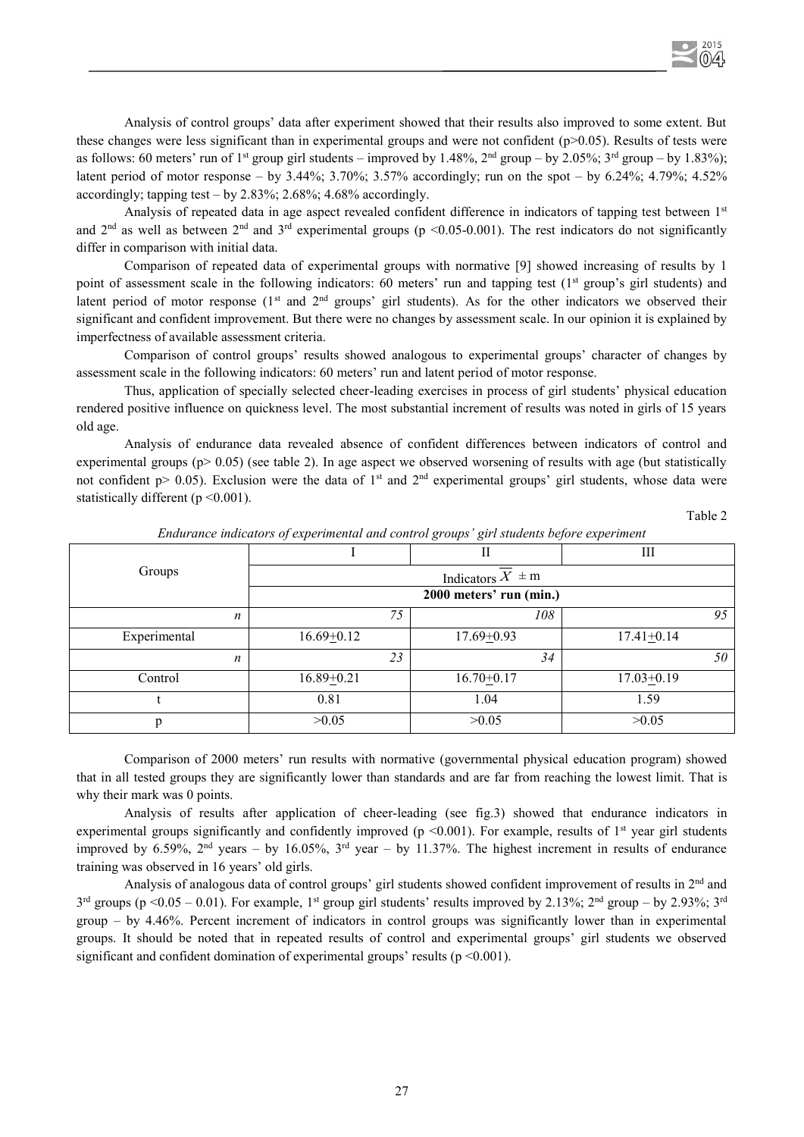Analysis of control groups' data after experiment showed that their results also improved to some extent. But these changes were less significant than in experimental groups and were not confident ( $p$  $> 0.05$ ). Results of tests were as follows: 60 meters' run of 1<sup>st</sup> group girl students – improved by 1.48%, 2<sup>nd</sup> group – by 2.05%; 3<sup>rd</sup> group – by 1.83%); latent period of motor response – by  $3.44\%$ ;  $3.70\%$ ;  $3.57\%$  accordingly; run on the spot – by  $6.24\%$ ;  $4.79\%$ ;  $4.52\%$ accordingly; tapping test – by  $2.83\%$ ;  $2.68\%$ ;  $4.68\%$  accordingly.

Analysis of repeated data in age aspect revealed confident difference in indicators of tapping test between 1st and  $2<sup>nd</sup>$  as well as between  $2<sup>nd</sup>$  and  $3<sup>rd</sup>$  experimental groups (p <0.05-0.001). The rest indicators do not significantly differ in comparison with initial data.

Comparison of repeated data of experimental groups with normative [9] showed increasing of results by 1 point of assessment scale in the following indicators: 60 meters' run and tapping test ( $1<sup>st</sup>$  group's girl students) and latent period of motor response  $(1<sup>st</sup>$  and  $2<sup>nd</sup>$  groups' girl students). As for the other indicators we observed their significant and confident improvement. But there were no changes by assessment scale. In our opinion it is explained by imperfectness of available assessment criteria.

Comparison of control groups' results showed analogous to experimental groups' character of changes by assessment scale in the following indicators: 60 meters' run and latent period of motor response.

Thus, application of specially selected cheer-leading exercises in process of girl students' physical education rendered positive influence on quickness level. The most substantial increment of results was noted in girls of 15 years old age.

Analysis of endurance data revealed absence of confident differences between indicators of control and experimental groups ( $p > 0.05$ ) (see table 2). In age aspect we observed worsening of results with age (but statistically not confident  $p > 0.05$ ). Exclusion were the data of 1<sup>st</sup> and 2<sup>nd</sup> experimental groups' girl students, whose data were statistically different ( $p \le 0.001$ ).

Table 2

| $\overline{ }$<br>$\overline{ }$<br>$\tilde{}$<br>$\overline{\phantom{a}}$<br>$\overline{\phantom{0}}$<br>$\overline{\phantom{a}}$<br>$\mathbf{r}$ |                         |                |                  |  |
|----------------------------------------------------------------------------------------------------------------------------------------------------|-------------------------|----------------|------------------|--|
|                                                                                                                                                    |                         | П              | Ш                |  |
| Groups                                                                                                                                             | Indicators $X \pm m$    |                |                  |  |
|                                                                                                                                                    | 2000 meters' run (min.) |                |                  |  |
| n                                                                                                                                                  | 75                      | 108            | 95               |  |
| Experimental                                                                                                                                       | $16.69 \pm 0.12$        | $17.69 + 0.93$ | $17.41 \pm 0.14$ |  |
| $\boldsymbol{n}$                                                                                                                                   | 23                      | 34             | 50               |  |
| Control                                                                                                                                            | $16.89 \pm 0.21$        | $16.70 + 0.17$ | $17.03 \pm 0.19$ |  |
|                                                                                                                                                    | 0.81                    | 1.04           | 1.59             |  |
|                                                                                                                                                    | >0.05                   | >0.05          | >0.05            |  |

*Endurance indicators of experimental and control groups' girl students before experiment*

Comparison of 2000 meters' run results with normative (governmental physical education program) showed that in all tested groups they are significantly lower than standards and are far from reaching the lowest limit. That is why their mark was 0 points.

Analysis of results after application of cheer-leading (see fig.3) showed that endurance indicators in experimental groups significantly and confidently improved ( $p \le 0.001$ ). For example, results of 1<sup>st</sup> year girl students improved by 6.59%,  $2<sup>nd</sup>$  years – by 16.05%,  $3<sup>rd</sup>$  year – by 11.37%. The highest increment in results of endurance training was observed in 16 years' old girls.

Analysis of analogous data of control groups' girl students showed confident improvement of results in 2<sup>nd</sup> and  $3<sup>rd</sup>$  groups (p <0.05 – 0.01). For example, 1<sup>st</sup> group girl students' results improved by 2.13%; 2<sup>nd</sup> group – by 2.93%; 3<sup>rd</sup> group – by 4.46%. Percent increment of indicators in control groups was significantly lower than in experimental groups. It should be noted that in repeated results of control and experimental groups' girl students we observed significant and confident domination of experimental groups' results ( $p \le 0.001$ ).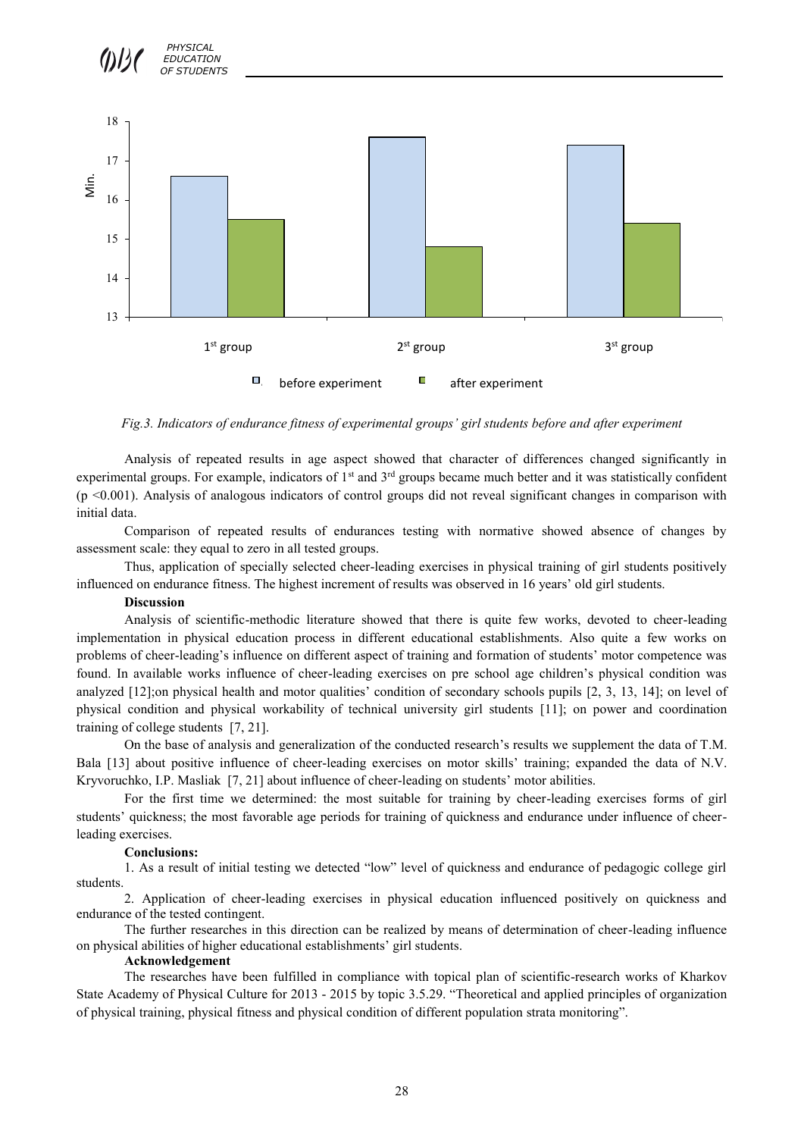

*Fig.3. Indicators of endurance fitness of experimental groups' girl students before and after experiment*

Analysis of repeated results in age aspect showed that character of differences changed significantly in experimental groups. For example, indicators of 1<sup>st</sup> and 3<sup>rd</sup> groups became much better and it was statistically confident  $(p \le 0.001)$ . Analysis of analogous indicators of control groups did not reveal significant changes in comparison with initial data.

Comparison of repeated results of endurances testing with normative showed absence of changes by assessment scale: they equal to zero in all tested groups.

Thus, application of specially selected cheer-leading exercises in physical training of girl students positively influenced on endurance fitness. The highest increment of results was observed in 16 years' old girl students.

## **Discussion**

Analysis of scientific-methodic literature showed that there is quite few works, devoted to cheer-leading implementation in physical education process in different educational establishments. Also quite a few works on problems of cheer-leading's influence on different aspect of training and formation of students' motor competence was found. In available works influence of cheer-leading exercises on pre school age children's physical condition was analyzed [12];on physical health and motor qualities' condition of secondary schools pupils [2, 3, 13, 14]; on level of physical condition and physical workability of technical university girl students [11]; on power and coordination training of college students [7, 21].

On the base of analysis and generalization of the conducted research's results we supplement the data of T.M. Bala [13] about positive influence of cheer-leading exercises on motor skills' training; expanded the data of N.V. Kryvoruchko, I.P. Masliak [7, 21] about influence of cheer-leading on students' motor abilities.

For the first time we determined: the most suitable for training by cheer-leading exercises forms of girl students' quickness; the most favorable age periods for training of quickness and endurance under influence of cheerleading exercises.

#### **Conclusions:**

1. As a result of initial testing we detected "low" level of quickness and endurance of pedagogic college girl students.

2. Application of cheer-leading exercises in physical education influenced positively on quickness and endurance of the tested contingent.

The further researches in this direction can be realized by means of determination of cheer-leading influence on physical abilities of higher educational establishments' girl students.

#### **Acknowledgement**

The researches have been fulfilled in compliance with topical plan of scientific-research works of Kharkov State Academy of Physical Culture for 2013 - 2015 by topic 3.5.29. "Theoretical and applied principles of organization of physical training, physical fitness and physical condition of different population strata monitoring".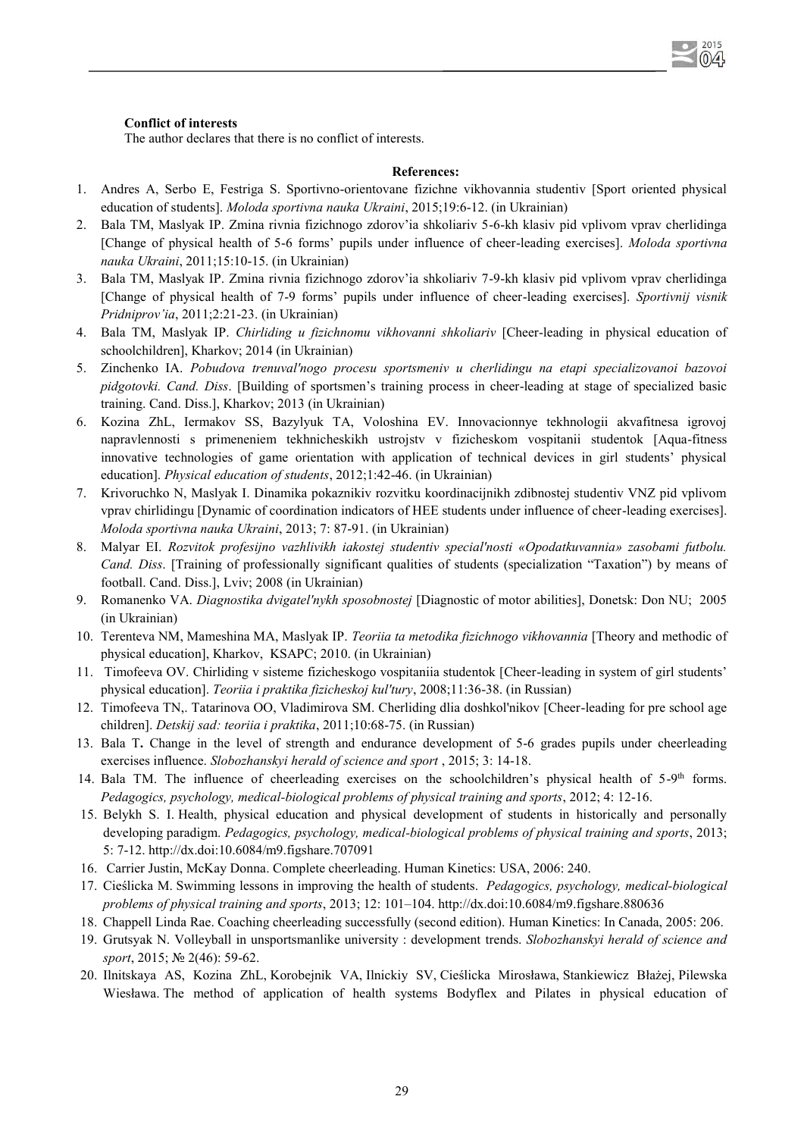### **Conflict of interests**

The author declares that there is no conflict of interests.

## **References:**

2015

- 1. Andres A, Serbo E, Festriga S. Sportivno-orientovane fizichne vikhovannia studentiv [Sport oriented physical education of students]. *Moloda sportivna nauka Ukraini*, 2015;19:6-12. (in Ukrainian)
- 2. Bala TM, Maslyak IP. Zmina rivnia fizichnogo zdorov'ia shkoliariv 5-6-kh klasiv pid vplivom vprav cherlidinga [Change of physical health of 5-6 forms' pupils under influence of cheer-leading exercises]. *Moloda sportivna nauka Ukraini*, 2011;15:10-15. (in Ukrainian)
- 3. Bala TM, Maslyak IP. Zmina rivnia fizichnogo zdorov'ia shkoliariv 7-9-kh klasiv pid vplivom vprav cherlidinga [Change of physical health of 7-9 forms' pupils under influence of cheer-leading exercises]. *Sportivnij visnik Pridniprov'ia*, 2011;2:21-23. (in Ukrainian)
- 4. Bala TM, Maslyak IP. *Chirliding u fizichnomu vikhovanni shkoliariv* [Cheer-leading in physical education of schoolchildren], Kharkov; 2014 (in Ukrainian)
- 5. Zinchenko IA. *Pobudova trenuval'nogo procesu sportsmeniv u cherlidingu na etapi specializovanoi bazovoi pidgotovki. Cand. Diss*. [Building of sportsmen's training process in cheer-leading at stage of specialized basic training. Cand. Diss.], Kharkov; 2013 (in Ukrainian)
- 6. Kozina ZhL, Iermakov SS, Bazylyuk TA, Voloshina EV. Innovacionnye tekhnologii akvafitnesa igrovoj napravlennosti s primeneniem tekhnicheskikh ustrojstv v fizicheskom vospitanii studentok [Aqua-fitness innovative technologies of game orientation with application of technical devices in girl students' physical education]. *Physical education of students*, 2012;1:42-46. (in Ukrainian)
- 7. Krivoruchko N, Maslyak I. Dinamika pokaznikiv rozvitku koordinacijnikh zdibnostej studentiv VNZ pid vplivom vprav chirlidingu [Dynamic of coordination indicators of HEE students under influence of cheer-leading exercises]. *Moloda sportivna nauka Ukraini*, 2013; 7: 87-91. (in Ukrainian)
- 8. Malyar EI. *Rozvitok profesijno vazhlivikh iakostej studentiv special'nosti «Opodatkuvannia» zasobami futbolu. Cand. Diss*. [Training of professionally significant qualities of students (specialization "Taxation") by means of football. Cand. Diss.], Lviv; 2008 (in Ukrainian)
- 9. Romanenko VA. *Diagnostika dvigatel'nykh sposobnostej* [Diagnostic of motor abilities], Donetsk: Don NU; 2005 (in Ukrainian)
- 10. Terenteva NM, Mameshina MA, Maslyak IP. *Teoriia ta metodika fizichnogo vikhovannia* [Theory and methodic of physical education], Kharkov, KSAPC; 2010. (in Ukrainian)
- 11. Timofeeva OV. Chirliding v sisteme fizicheskogo vospitaniia studentok [Cheer-leading in system of girl students' physical education]. *Teoriia i praktika fizicheskoj kul'tury*, 2008;11:36-38. (in Russian)
- 12. Timofeeva TN,. Tatarinova OO, Vladimirova SM. Cherliding dlia doshkol'nikov [Cheer-leading for pre school age children]. *Detskij sad: teoriia i praktika*, 2011;10:68-75. (in Russian)
- 13. Bala T**.** Change in the level of strength and endurance development of 5-6 grades pupils under cheerleading exercises influence. *Slobozhanskyi herald of science and sport* , 2015; 3: 14-18.
- 14. Bala TM. The influence of cheerleading exercises on the schoolchildren's physical health of 5-9<sup>th</sup> forms. *Pedagogics, psychology, medical-biological problems of physical training and sports*, 2012; 4: 12-16.
- 15. Belykh S. I. Health, physical education and physical development of students in historically and personally developing paradigm. *Pedagogics, psychology, medical-biological problems of physical training and sports*, 2013; 5: 7-12. http://dx.doi:10.6084/m9.figshare.707091
- 16. Carrier Justin, McKay Donna. Complete cheerleading. Human Kinetics: USA, 2006: 240.
- 17. Cieślicka M. Swimming lessons in improving the health of students. *Pedagogics, psychology, medical-biological problems of physical training and sports*, 2013; 12: 101–104[. http://dx.doi:10.6084/m9.figshare.8](http://dx.doi:10.6084/m9.figshare)80636
- 18. Chappell Linda Rae. Coaching cheerleading successfully (second edition). Human Kinetics: In Canada, 2005: 206.
- 19. Grutsyak N. Volleyball in unsportsmanlike university : development trends. *Slobozhanskyi herald of science and sport*, 2015; № 2(46): 59-62.
- 20. Ilnitskaya AS, Kozina ZhL, Korobejnik VA, Ilnickiy SV, Cieślicka Mirosława, Stankiewicz Błażej, Pilewska Wiesława. The method of application of health systems Bodyflex and Pilates in physical education of